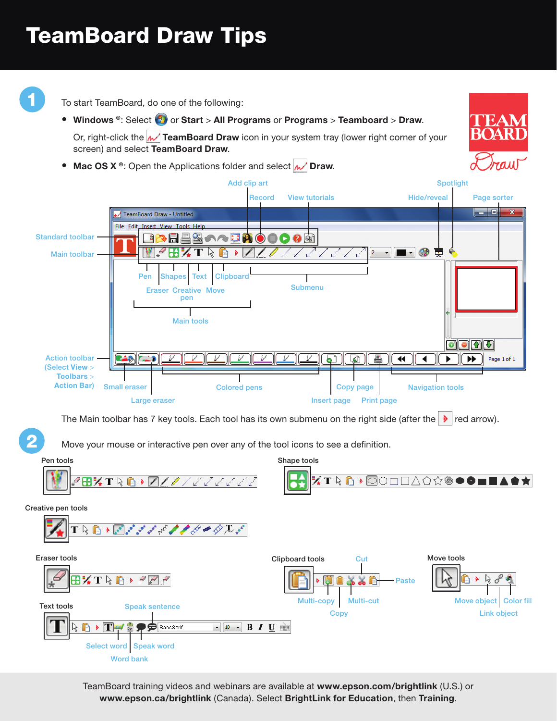## TeamBoard Draw Tips



To start TeamBoard, do one of the following:

**•** Windows ®: Select  $\bigoplus$  or Start > All Programs or Programs > Teamboard > Draw.

Or, right-click the **M** TeamBoard Draw icon in your system tray (lower right corner of your screen) and select **TeamBoard Draw**.

• Mac OS X ®: Open the Applications folder and select **M** Draw.



The Main toolbar has 7 key tools. Each tool has its own submenu on the right side (after the  $\blacktriangleright$  red arrow).

Move your mouse or interactive pen over any of the tool icons to see a definition.



TeamBoard training videos and webinars are available at **www.epson.com/brightlink** (U.S.) or **www.epson.ca/brightlink** (Canada). Select **BrightLink for Education**, then **Training**.